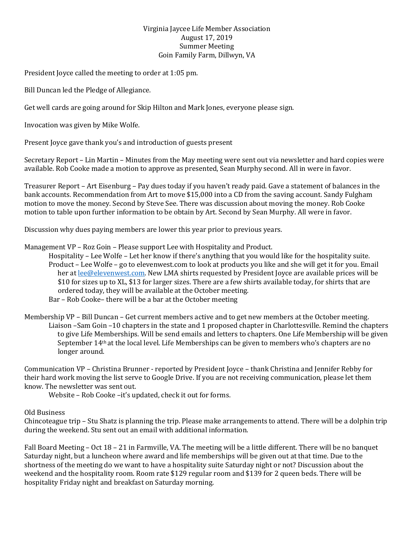## Virginia Jaycee Life Member Association August 17, 2019 Summer Meeting Goin Family Farm, Dillwyn, VA

President Joyce called the meeting to order at 1:05 pm.

Bill Duncan led the Pledge of Allegiance.

Get well cards are going around for Skip Hilton and Mark Jones, everyone please sign.

Invocation was given by Mike Wolfe.

Present Joyce gave thank you's and introduction of guests present

Secretary Report – Lin Martin – Minutes from the May meeting were sent out via newsletter and hard copies were available. Rob Cooke made a motion to approve as presented, Sean Murphy second. All in were in favor.

Treasurer Report – Art Eisenburg – Pay dues today if you haven't ready paid. Gave a statement of balances in the bank accounts. Recommendation from Art to move \$15,000 into a CD from the saving account. Sandy Fulgham motion to move the money. Second by Steve See. There was discussion about moving the money. Rob Cooke motion to table upon further information to be obtain by Art. Second by Sean Murphy. All were in favor.

Discussion why dues paying members are lower this year prior to previous years.

Management VP – Roz Goin – Please support Lee with Hospitality and Product.

 Hospitality – Lee Wolfe – Let her know if there's anything that you would like for the hospitality suite. Product – Lee Wolfe – go to elevenwest.com to look at products you like and she will get it for you. Email her a[t lee@elevenwest.com.](mailto:lee@elevenwest.com) New LMA shirts requested by President Joyce are available prices will be \$10 for sizes up to XL, \$13 for larger sizes. There are a few shirts available today, for shirts that are ordered today, they will be available at the October meeting.

Bar – Rob Cooke– there will be a bar at the October meeting

Membership VP – Bill Duncan – Get current members active and to get new members at the October meeting. Liaison –Sam Goin –10 chapters in the state and 1 proposed chapter in Charlottesville. Remind the chapters to give Life Memberships. Will be send emails and letters to chapters. One Life Membership will be given September 14th at the local level. Life Memberships can be given to members who's chapters are no longer around.

Communication VP – Christina Brunner - reported by President Joyce – thank Christina and Jennifer Rebby for their hard work moving the list serve to Google Drive. If you are not receiving communication, please let them know. The newsletter was sent out.

Website – Rob Cooke –it's updated, check it out for forms.

## Old Business

Chincoteague trip – Stu Shatz is planning the trip. Please make arrangements to attend. There will be a dolphin trip during the weekend. Stu sent out an email with additional information.

Fall Board Meeting – Oct 18 – 21 in Farmville, VA. The meeting will be a little different. There will be no banquet Saturday night, but a luncheon where award and life memberships will be given out at that time. Due to the shortness of the meeting do we want to have a hospitality suite Saturday night or not? Discussion about the weekend and the hospitality room. Room rate \$129 regular room and \$139 for 2 queen beds. There will be hospitality Friday night and breakfast on Saturday morning.